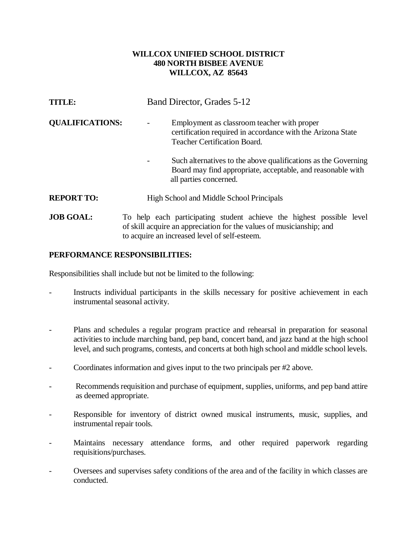## **WILLCOX UNIFIED SCHOOL DISTRICT 480 NORTH BISBEE AVENUE WILLCOX, AZ 85643**

| <b>TITLE:</b>          | Band Director, Grades 5-12                                                                                                                              |
|------------------------|---------------------------------------------------------------------------------------------------------------------------------------------------------|
| <b>QUALIFICATIONS:</b> | Employment as classroom teacher with proper<br>certification required in accordance with the Arizona State<br><b>Teacher Certification Board.</b>       |
|                        | Such alternatives to the above qualifications as the Governing<br>Board may find appropriate, acceptable, and reasonable with<br>all parties concerned. |
| <b>REPORT TO:</b>      | High School and Middle School Principals                                                                                                                |
| <b>JOB GOAL:</b>       | To help each participating student achieve the highest possible level<br>of skill acquire an appreciation for the values of musicianship; and           |

## **PERFORMANCE RESPONSIBILITIES:**

Responsibilities shall include but not be limited to the following:

Instructs individual participants in the skills necessary for positive achievement in each instrumental seasonal activity.

to acquire an increased level of self-esteem.

- Plans and schedules a regular program practice and rehearsal in preparation for seasonal activities to include marching band, pep band, concert band, and jazz band at the high school level, and such programs, contests, and concerts at both high school and middle school levels.
- Coordinates information and gives input to the two principals per #2 above.
- Recommends requisition and purchase of equipment, supplies, uniforms, and pep band attire as deemed appropriate.
- Responsible for inventory of district owned musical instruments, music, supplies, and instrumental repair tools.
- Maintains necessary attendance forms, and other required paperwork regarding requisitions/purchases.
- Oversees and supervises safety conditions of the area and of the facility in which classes are conducted.